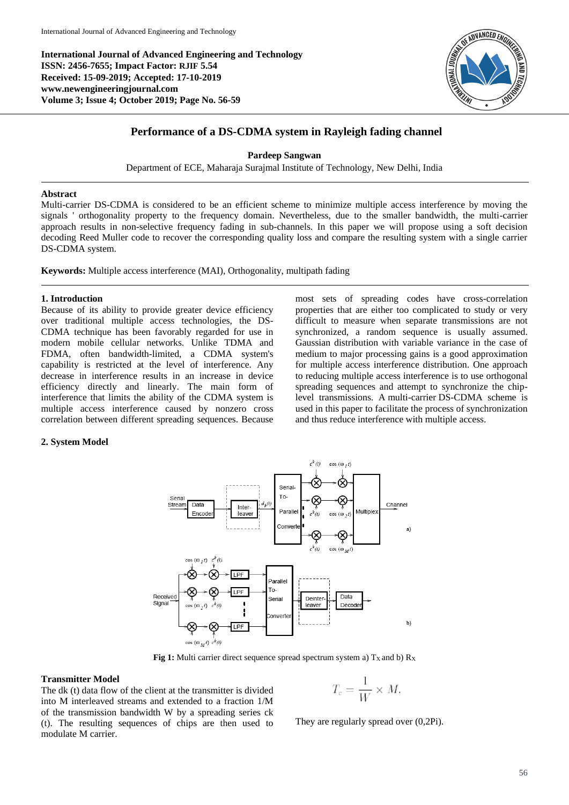**International Journal of Advanced Engineering and Technology ISSN: 2456-7655; Impact Factor: RJIF 5.54 Received: 15-09-2019; Accepted: 17-10-2019 www.newengineeringjournal.com Volume 3; Issue 4; October 2019; Page No. 56-59**



# **Performance of a DS-CDMA system in Rayleigh fading channel**

### **Pardeep Sangwan**

Department of ECE, Maharaja Surajmal Institute of Technology, New Delhi, India

# **Abstract**

Multi-carrier DS-CDMA is considered to be an efficient scheme to minimize multiple access interference by moving the signals ' orthogonality property to the frequency domain. Nevertheless, due to the smaller bandwidth, the multi-carrier approach results in non-selective frequency fading in sub-channels. In this paper we will propose using a soft decision decoding Reed Muller code to recover the corresponding quality loss and compare the resulting system with a single carrier DS-CDMA system.

**Keywords:** Multiple access interference (MAI), Orthogonality, multipath fading

## **1. Introduction**

Because of its ability to provide greater device efficiency over traditional multiple access technologies, the DS-CDMA technique has been favorably regarded for use in modern mobile cellular networks. Unlike TDMA and FDMA, often bandwidth-limited, a CDMA system's capability is restricted at the level of interference. Any decrease in interference results in an increase in device efficiency directly and linearly. The main form of interference that limits the ability of the CDMA system is multiple access interference caused by nonzero cross correlation between different spreading sequences. Because

most sets of spreading codes have cross-correlation properties that are either too complicated to study or very difficult to measure when separate transmissions are not synchronized, a random sequence is usually assumed. Gaussian distribution with variable variance in the case of medium to major processing gains is a good approximation for multiple access interference distribution. One approach to reducing multiple access interference is to use orthogonal spreading sequences and attempt to synchronize the chiplevel transmissions. A multi-carrier DS-CDMA scheme is used in this paper to facilitate the process of synchronization and thus reduce interference with multiple access.

## **2. System Model**



**Fig 1:** Multi carrier direct sequence spread spectrum system a)  $T_X$  and b)  $R_X$ 

# **Transmitter Model**

The dk (t) data flow of the client at the transmitter is divided into M interleaved streams and extended to a fraction 1/M of the transmission bandwidth W by a spreading series ck (t). The resulting sequences of chips are then used to modulate M carrier.

$$
T_c = \frac{1}{W} \times M.
$$

They are regularly spread over (0,2Pi).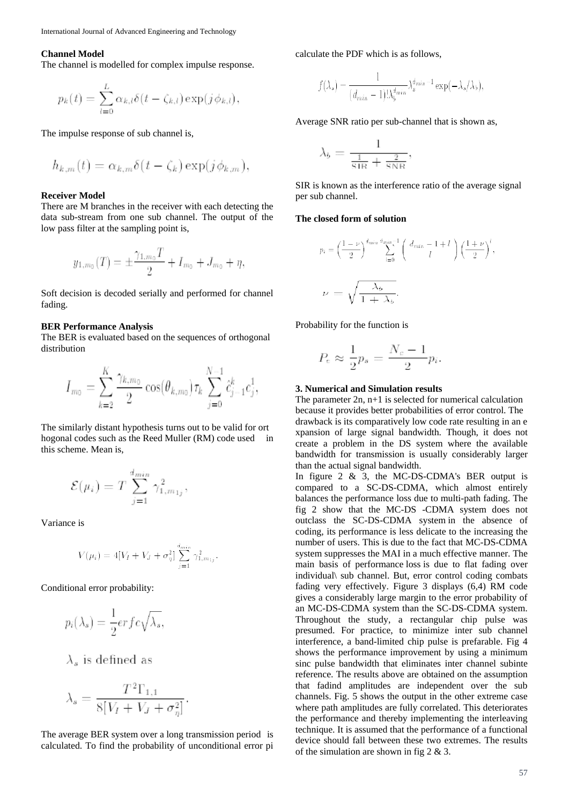#### **Channel Model**

The channel is modelled for complex impulse response.

$$
p_k(t) = \sum_{l=0}^{L} \alpha_{k,l} \delta(t - \zeta_{k,l}) \exp(j \phi_{k,l})
$$

The impulse response of sub channel is,

$$
h_{k,m}(t) = \alpha_{k,m}\delta(t-\zeta_k)\exp(j\phi_{k,m}),
$$

#### **Receiver Model**

There are M branches in the receiver with each detecting the data sub-stream from one sub channel. The output of the low pass filter at the sampling point is,

$$
y_{1,m_0}(T) = \pm \frac{\gamma_{1,m_0}T}{2} + I_{m_0} + J_{m_0} + \eta,
$$

Soft decision is decoded serially and performed for channel fading.

#### **BER Performance Analysis**

The BER is evaluated based on the sequences of orthogonal distribution

$$
I_{m_0} = \sum_{k=2}^{K} \frac{\gamma_{k,m_0}}{2} \cos(\theta_{k,m_0}) \tau_k \sum_{j=0}^{N-1} \hat{c}_{j-1}^k c_j^1,
$$

The similarly distant hypothesis turns out to be valid for ort hogonal codes such as the Reed Muller (RM) code used in this scheme. Mean is,

$$
\mathcal{E}(\mu_i) = T \sum_{j=1}^{d_{min}} \gamma_{1,m_{1j}}^2,
$$

Variance is

$$
V(\mu_i) = 4[V_I + V_J + \sigma_{\eta}^2] \sum_{j=1}^{d_{min}} \gamma_{1,m_{1j}}^2
$$

Conditional error probability:

$$
p_i(\lambda_s) = \frac{1}{2} erfc\sqrt{\lambda_s},
$$

 $\lambda_s$  is defined as

$$
\lambda_s = \frac{T^2 \Gamma_{1,1}}{8[V_I + V_J + \sigma_{\eta}^2]}
$$

The average BER system over a long transmission period is calculated. To find the probability of unconditional error pi calculate the PDF which is as follows,

$$
f(\lambda_s) = \frac{1}{(d_{min} - 1)! \lambda_b^{d_{min}} \lambda_s^{d_{min} - 1} \exp(-\lambda_s/\lambda_b)},
$$

Average SNR ratio per sub-channel that is shown as,

$$
\lambda_b = \frac{1}{\frac{1}{\text{SIR}} + \frac{2}{\text{SNR}}},
$$

SIR is known as the interference ratio of the average signal per sub channel.

## **The closed form of solution**

$$
p_i = \left(\frac{1-\nu}{2}\right)^{\frac{d_{min}}{2}} \sum_{l=0}^{\frac{d_{min}}{2}-1} \left(\frac{d_{min}-1+l}{l}\right) \left(\frac{1+\nu}{2}\right)^l,
$$
  

$$
\nu = \sqrt{\frac{\lambda_b}{1+\lambda_b}}.
$$

Probability for the function is

$$
P_e \approx \frac{1}{2}p_s = \frac{N_c - 1}{2}p_i.
$$

#### **3. Numerical and Simulation results**

The parameter  $2n$ ,  $n+1$  is selected for numerical calculation because it provides better probabilities of error control. The drawback is its comparatively low code rate resulting in an e xpansion of large signal bandwidth. Though, it does not create a problem in the DS system where the available bandwidth for transmission is usually considerably larger than the actual signal bandwidth.

In figure 2 & 3, the MC-DS-CDMA's BER output is compared to a SC-DS-CDMA, which almost entirely balances the performance loss due to multi-path fading. The fig 2 show that the MC-DS -CDMA system does not outclass the SC-DS-CDMA system in the absence of coding, its performance is less delicate to the increasing the number of users. This is due to the fact that MC-DS-CDMA system suppresses the MAI in a much effective manner. The main basis of performance loss is due to flat fading over individual\ sub channel. But, error control coding combats fading very effectively. Figure 3 displays (6,4) RM code gives a considerably large margin to the error probability of an MC-DS-CDMA system than the SC-DS-CDMA system. Throughout the study, a rectangular chip pulse was presumed. For practice, to minimize inter sub channel interference, a band-limited chip pulse is prefarable. Fig 4 shows the performance improvement by using a minimum sinc pulse bandwidth that eliminates inter channel subinte reference. The results above are obtained on the assumption that fadind amplitudes are independent over the sub channels. Fig. 5 shows the output in the other extreme case where path amplitudes are fully correlated. This deteriorates the performance and thereby implementing the interleaving technique. It is assumed that the performance of a functional device should fall between these two extremes. The results of the simulation are shown in fig  $2 \& 3$ .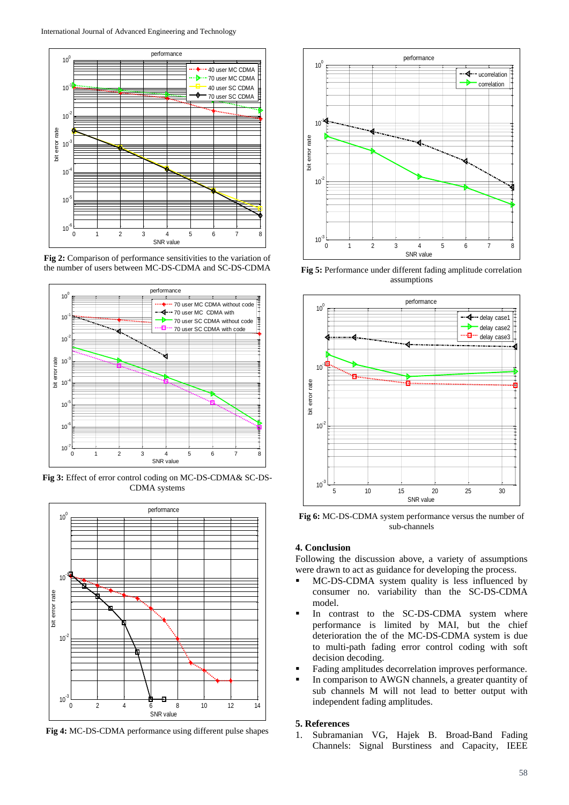

**Fig 2:** Comparison of performance sensitivities to the variation of the number of users between MC-DS-CDMA and SC-DS-CDMA



**Fig 3:** Effect of error control coding on MC-DS-CDMA& SC-DS-CDMA systems



**Fig 4:** MC-DS-CDMA performance using different pulse shapes



**Fig 5:** Performance under different fading amplitude correlation assumptions



**Fig 6:** MC-DS-CDMA system performance versus the number of sub-channels

# **4. Conclusion**

Following the discussion above, a variety of assumptions were drawn to act as guidance for developing the process.

- MC-DS-CDMA system quality is less influenced by consumer no. variability than the SC-DS-CDMA model.
- In contrast to the SC-DS-CDMA system where performance is limited by MAI, but the chief deterioration the of the MC-DS-CDMA system is due to multi-path fading error control coding with soft decision decoding.
- Fading amplitudes decorrelation improves performance.
- In comparison to AWGN channels, a greater quantity of sub channels M will not lead to better output with independent fading amplitudes.

#### **5. References**

1. Subramanian VG, Hajek B. Broad-Band Fading Channels: Signal Burstiness and Capacity, IEEE